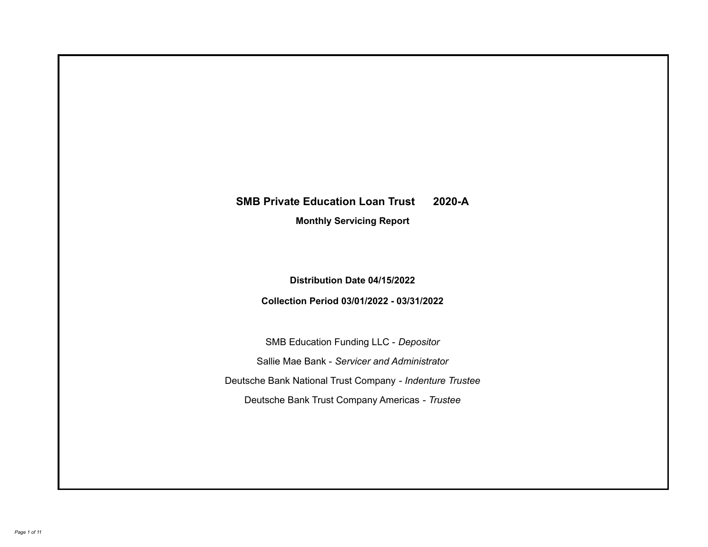# **SMB Private Education Loan Trust 2020-A**

**Monthly Servicing Report**

**Distribution Date 04/15/2022**

**Collection Period 03/01/2022 - 03/31/2022**

SMB Education Funding LLC - *Depositor* Sallie Mae Bank - *Servicer and Administrator* Deutsche Bank National Trust Company - *Indenture Trustee* Deutsche Bank Trust Company Americas - *Trustee*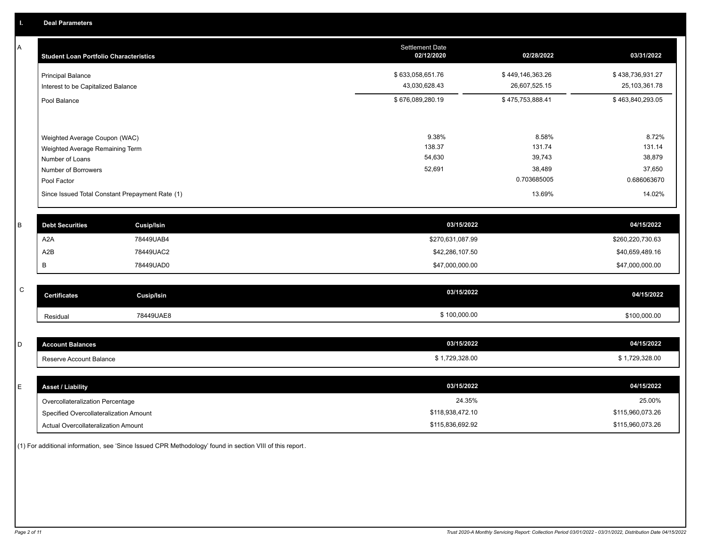A

| <b>Student Loan Portfolio Characteristics</b>                                                                                                                                | <b>Settlement Date</b><br>02/12/2020 | 02/28/2022                                                   | 03/31/2022                                                   |
|------------------------------------------------------------------------------------------------------------------------------------------------------------------------------|--------------------------------------|--------------------------------------------------------------|--------------------------------------------------------------|
| <b>Principal Balance</b><br>Interest to be Capitalized Balance                                                                                                               | \$633,058,651.76<br>43,030,628.43    | \$449,146,363.26<br>26,607,525.15                            | \$438,736,931.27<br>25,103,361.78                            |
| Pool Balance                                                                                                                                                                 | \$676,089,280.19                     | \$475,753,888.41                                             | \$463,840,293.05                                             |
| Weighted Average Coupon (WAC)<br>Weighted Average Remaining Term<br>Number of Loans<br>Number of Borrowers<br>Pool Factor<br>Since Issued Total Constant Prepayment Rate (1) | 9.38%<br>138.37<br>54,630<br>52,691  | 8.58%<br>131.74<br>39,743<br>38,489<br>0.703685005<br>13.69% | 8.72%<br>131.14<br>38,879<br>37,650<br>0.686063670<br>14.02% |
|                                                                                                                                                                              |                                      |                                                              |                                                              |

| <b>Debt Securities</b> | <b>Cusip/Isin</b> | 03/15/2022       | 04/15/2022       |
|------------------------|-------------------|------------------|------------------|
| A2A                    | 78449UAB4         | \$270,631,087.99 | \$260,220,730.63 |
| A2B                    | 78449UAC2         | \$42,286,107.50  | \$40,659,489.16  |
|                        | 78449UAD0         | \$47,000,000.00  | \$47,000,000.00  |

| $\sim$<br>◡ | <b>Certificates</b> | Cusip/Isin | 03/15/2022   | 04/15/2022   |
|-------------|---------------------|------------|--------------|--------------|
|             | Residual            | 78449UAE8  | \$100,000.00 | \$100.000.00 |

| <b>Account Balances</b> | 03/15/2022   | 04/15/2022   |
|-------------------------|--------------|--------------|
| Reserve Account Balance | 1.729.328.00 | 1.729.328.00 |

| E. | <b>Asset / Liability</b>               | 03/15/2022       | 04/15/2022       |
|----|----------------------------------------|------------------|------------------|
|    | Overcollateralization Percentage       | 24.35%           | 25.00%           |
|    | Specified Overcollateralization Amount | \$118,938,472.10 | \$115,960,073.26 |
|    | Actual Overcollateralization Amount    | \$115,836,692.92 | \$115,960,073.26 |

(1) For additional information, see 'Since Issued CPR Methodology' found in section VIII of this report .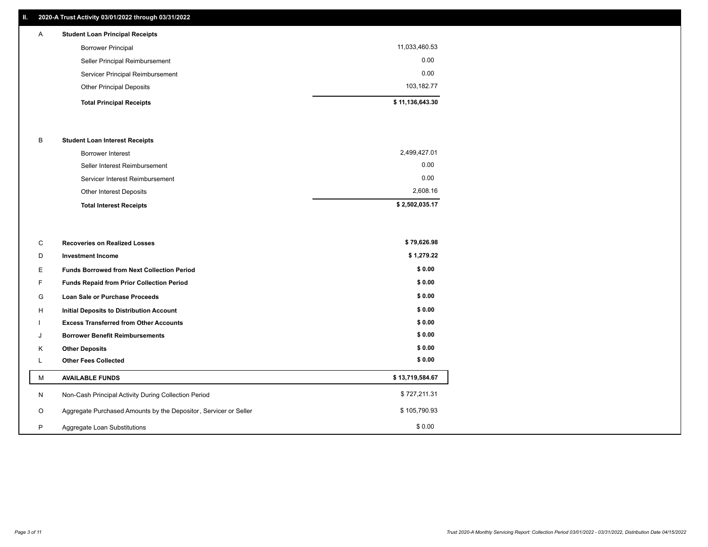#### **II. 2020-A Trust Activity 03/01/2022 through 03/31/2022**

# **Total Principal Receipts \$ 11,136,643.30**  Other Principal Deposits 103,182.77 Servicer Principal Reimbursement 0.00 Seller Principal Reimbursement 0.00 Borrower Principal 11,033,460.53 A **Student Loan Principal Receipts**

#### B **Student Loan Interest Receipts**

| <b>Total Interest Receipts</b>  | \$2,502,035.17 |
|---------------------------------|----------------|
| Other Interest Deposits         | 2,608.16       |
| Servicer Interest Reimbursement | 0.00           |
| Seller Interest Reimbursement   | 0.00           |
| Borrower Interest               | 2,499,427.01   |

| C       | <b>Recoveries on Realized Losses</b>                             | \$79,626.98     |
|---------|------------------------------------------------------------------|-----------------|
| D       | Investment Income                                                | \$1,279.22      |
| Е.      | <b>Funds Borrowed from Next Collection Period</b>                | \$0.00          |
| F.      | <b>Funds Repaid from Prior Collection Period</b>                 | \$0.00          |
| G       | Loan Sale or Purchase Proceeds                                   | \$0.00          |
| H       | Initial Deposits to Distribution Account                         | \$0.00          |
|         | <b>Excess Transferred from Other Accounts</b>                    | \$0.00          |
|         | <b>Borrower Benefit Reimbursements</b>                           | \$0.00          |
| Κ       | <b>Other Deposits</b>                                            | \$0.00          |
| ┗       | <b>Other Fees Collected</b>                                      | \$0.00          |
| М       | <b>AVAILABLE FUNDS</b>                                           | \$13,719,584.67 |
| N       | Non-Cash Principal Activity During Collection Period             | \$727,211.31    |
| $\circ$ | Aggregate Purchased Amounts by the Depositor, Servicer or Seller | \$105,790.93    |
| P       | Aggregate Loan Substitutions                                     | \$0.00          |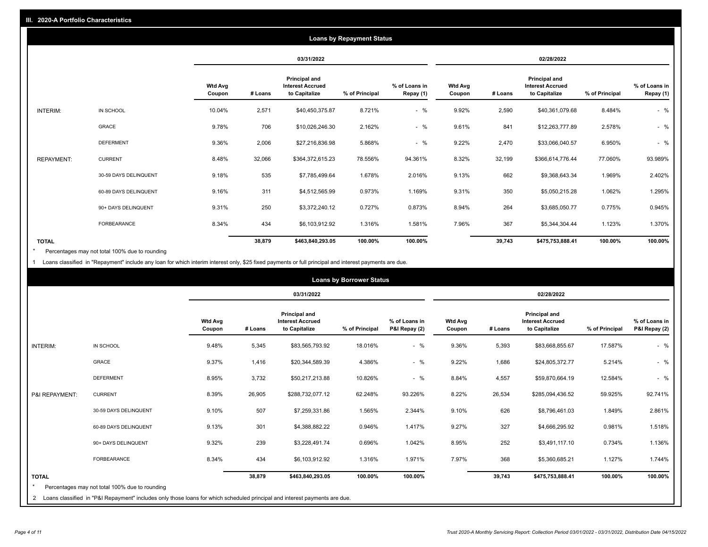|                   | <b>Loans by Repayment Status</b> |                          |            |                                                           |                |                            |                          |         |                                                           |                |                            |
|-------------------|----------------------------------|--------------------------|------------|-----------------------------------------------------------|----------------|----------------------------|--------------------------|---------|-----------------------------------------------------------|----------------|----------------------------|
|                   |                                  |                          | 03/31/2022 |                                                           |                | 02/28/2022                 |                          |         |                                                           |                |                            |
|                   |                                  | <b>Wtd Avg</b><br>Coupon | # Loans    | Principal and<br><b>Interest Accrued</b><br>to Capitalize | % of Principal | % of Loans in<br>Repay (1) | <b>Wtd Avg</b><br>Coupon | # Loans | Principal and<br><b>Interest Accrued</b><br>to Capitalize | % of Principal | % of Loans in<br>Repay (1) |
| INTERIM:          | IN SCHOOL                        | 10.04%                   | 2,571      | \$40,450,375.87                                           | 8.721%         | $-$ %                      | 9.92%                    | 2,590   | \$40,361,079.68                                           | 8.484%         | $-$ %                      |
|                   | GRACE                            | 9.78%                    | 706        | \$10,026,246.30                                           | 2.162%         | $-$ %                      | 9.61%                    | 841     | \$12,263,777.89                                           | 2.578%         | $-$ %                      |
|                   | <b>DEFERMENT</b>                 | 9.36%                    | 2,006      | \$27,216,836.98                                           | 5.868%         | $-$ %                      | 9.22%                    | 2,470   | \$33,066,040.57                                           | 6.950%         | $-$ %                      |
| <b>REPAYMENT:</b> | <b>CURRENT</b>                   | 8.48%                    | 32,066     | \$364,372,615.23                                          | 78.556%        | 94.361%                    | 8.32%                    | 32,199  | \$366,614,776.44                                          | 77.060%        | 93.989%                    |
|                   | 30-59 DAYS DELINQUENT            | 9.18%                    | 535        | \$7,785,499.64                                            | 1.678%         | 2.016%                     | 9.13%                    | 662     | \$9,368,643.34                                            | 1.969%         | 2.402%                     |
|                   | 60-89 DAYS DELINQUENT            | 9.16%                    | 311        | \$4,512,565.99                                            | 0.973%         | 1.169%                     | 9.31%                    | 350     | \$5,050,215.28                                            | 1.062%         | 1.295%                     |
|                   | 90+ DAYS DELINQUENT              | 9.31%                    | 250        | \$3,372,240.12                                            | 0.727%         | 0.873%                     | 8.94%                    | 264     | \$3,685,050.77                                            | 0.775%         | 0.945%                     |
|                   | FORBEARANCE                      | 8.34%                    | 434        | \$6,103,912.92                                            | 1.316%         | 1.581%                     | 7.96%                    | 367     | \$5,344,304.44                                            | 1.123%         | 1.370%                     |
| <b>TOTAL</b>      |                                  |                          | 38,879     | \$463,840,293.05                                          | 100.00%        | 100.00%                    |                          | 39,743  | \$475,753,888.41                                          | 100.00%        | 100.00%                    |

Percentages may not total 100% due to rounding \*

1 Loans classified in "Repayment" include any loan for which interim interest only, \$25 fixed payments or full principal and interest payments are due.

| <b>Loans by Borrower Status</b> |                                                                                                                            |                          |         |                                                                  |                |                                |                          |         |                                                           |                |                                |
|---------------------------------|----------------------------------------------------------------------------------------------------------------------------|--------------------------|---------|------------------------------------------------------------------|----------------|--------------------------------|--------------------------|---------|-----------------------------------------------------------|----------------|--------------------------------|
|                                 |                                                                                                                            |                          |         | 03/31/2022                                                       |                |                                | 02/28/2022               |         |                                                           |                |                                |
|                                 |                                                                                                                            | <b>Wtd Avg</b><br>Coupon | # Loans | <b>Principal and</b><br><b>Interest Accrued</b><br>to Capitalize | % of Principal | % of Loans in<br>P&I Repay (2) | <b>Wtd Avg</b><br>Coupon | # Loans | Principal and<br><b>Interest Accrued</b><br>to Capitalize | % of Principal | % of Loans in<br>P&I Repay (2) |
| INTERIM:                        | IN SCHOOL                                                                                                                  | 9.48%                    | 5,345   | \$83,565,793.92                                                  | 18.016%        | $-$ %                          | 9.36%                    | 5,393   | \$83,668,855.67                                           | 17.587%        | $-$ %                          |
|                                 | <b>GRACE</b>                                                                                                               | 9.37%                    | 1,416   | \$20,344,589.39                                                  | 4.386%         | $-$ %                          | 9.22%                    | 1,686   | \$24,805,372.77                                           | 5.214%         | $-$ %                          |
|                                 | <b>DEFERMENT</b>                                                                                                           | 8.95%                    | 3,732   | \$50,217,213.88                                                  | 10.826%        | $-$ %                          | 8.84%                    | 4,557   | \$59,870,664.19                                           | 12.584%        | $-$ %                          |
| P&I REPAYMENT:                  | <b>CURRENT</b>                                                                                                             | 8.39%                    | 26,905  | \$288,732,077.12                                                 | 62.248%        | 93.226%                        | 8.22%                    | 26,534  | \$285,094,436.52                                          | 59.925%        | 92.741%                        |
|                                 | 30-59 DAYS DELINQUENT                                                                                                      | 9.10%                    | 507     | \$7,259,331.86                                                   | 1.565%         | 2.344%                         | 9.10%                    | 626     | \$8,796,461.03                                            | 1.849%         | 2.861%                         |
|                                 | 60-89 DAYS DELINQUENT                                                                                                      | 9.13%                    | 301     | \$4,388,882.22                                                   | 0.946%         | 1.417%                         | 9.27%                    | 327     | \$4,666,295.92                                            | 0.981%         | 1.518%                         |
|                                 | 90+ DAYS DELINQUENT                                                                                                        | 9.32%                    | 239     | \$3,228,491.74                                                   | 0.696%         | 1.042%                         | 8.95%                    | 252     | \$3,491,117.10                                            | 0.734%         | 1.136%                         |
|                                 | FORBEARANCE                                                                                                                | 8.34%                    | 434     | \$6,103,912.92                                                   | 1.316%         | 1.971%                         | 7.97%                    | 368     | \$5,360,685.21                                            | 1.127%         | 1.744%                         |
| <b>TOTAL</b>                    | Percentages may not total 100% due to rounding                                                                             |                          | 38,879  | \$463,840,293.05                                                 | 100.00%        | 100.00%                        |                          | 39,743  | \$475,753,888.41                                          | 100.00%        | 100.00%                        |
| $\overline{2}$                  | Loans classified in "P&I Repayment" includes only those loans for which scheduled principal and interest payments are due. |                          |         |                                                                  |                |                                |                          |         |                                                           |                |                                |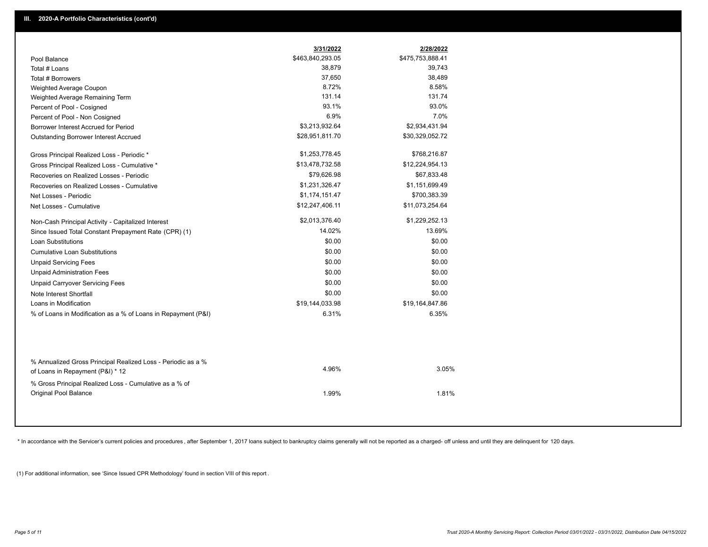|                                                                                                  | 3/31/2022        | 2/28/2022        |  |
|--------------------------------------------------------------------------------------------------|------------------|------------------|--|
| Pool Balance                                                                                     | \$463,840,293.05 | \$475,753,888.41 |  |
| Total # Loans                                                                                    | 38,879           | 39,743           |  |
| Total # Borrowers                                                                                | 37,650           | 38,489           |  |
| Weighted Average Coupon                                                                          | 8.72%            | 8.58%            |  |
| Weighted Average Remaining Term                                                                  | 131.14           | 131.74           |  |
| Percent of Pool - Cosigned                                                                       | 93.1%            | 93.0%            |  |
| Percent of Pool - Non Cosigned                                                                   | 6.9%             | 7.0%             |  |
| Borrower Interest Accrued for Period                                                             | \$3,213,932.64   | \$2,934,431.94   |  |
| <b>Outstanding Borrower Interest Accrued</b>                                                     | \$28,951,811.70  | \$30,329,052.72  |  |
| Gross Principal Realized Loss - Periodic *                                                       | \$1,253,778.45   | \$768,216.87     |  |
| Gross Principal Realized Loss - Cumulative *                                                     | \$13,478,732.58  | \$12,224,954.13  |  |
| Recoveries on Realized Losses - Periodic                                                         | \$79,626.98      | \$67,833.48      |  |
| Recoveries on Realized Losses - Cumulative                                                       | \$1,231,326.47   | \$1,151,699.49   |  |
| Net Losses - Periodic                                                                            | \$1,174,151.47   | \$700,383.39     |  |
| Net Losses - Cumulative                                                                          | \$12,247,406.11  | \$11,073,254.64  |  |
| Non-Cash Principal Activity - Capitalized Interest                                               | \$2,013,376.40   | \$1,229,252.13   |  |
| Since Issued Total Constant Prepayment Rate (CPR) (1)                                            | 14.02%           | 13.69%           |  |
| <b>Loan Substitutions</b>                                                                        | \$0.00           | \$0.00           |  |
| <b>Cumulative Loan Substitutions</b>                                                             | \$0.00           | \$0.00           |  |
| <b>Unpaid Servicing Fees</b>                                                                     | \$0.00           | \$0.00           |  |
| <b>Unpaid Administration Fees</b>                                                                | \$0.00           | \$0.00           |  |
| <b>Unpaid Carryover Servicing Fees</b>                                                           | \$0.00           | \$0.00           |  |
| Note Interest Shortfall                                                                          | \$0.00           | \$0.00           |  |
| Loans in Modification                                                                            | \$19,144,033.98  | \$19,164,847.86  |  |
| % of Loans in Modification as a % of Loans in Repayment (P&I)                                    | 6.31%            | 6.35%            |  |
|                                                                                                  |                  |                  |  |
| % Annualized Gross Principal Realized Loss - Periodic as a %<br>of Loans in Repayment (P&I) * 12 | 4.96%            | 3.05%            |  |
| % Gross Principal Realized Loss - Cumulative as a % of                                           |                  |                  |  |

\* In accordance with the Servicer's current policies and procedures, after September 1, 2017 loans subject to bankruptcy claims generally will not be reported as a charged- off unless and until they are delinquent for 120

1.99% 1.81%

(1) For additional information, see 'Since Issued CPR Methodology' found in section VIII of this report .

Original Pool Balance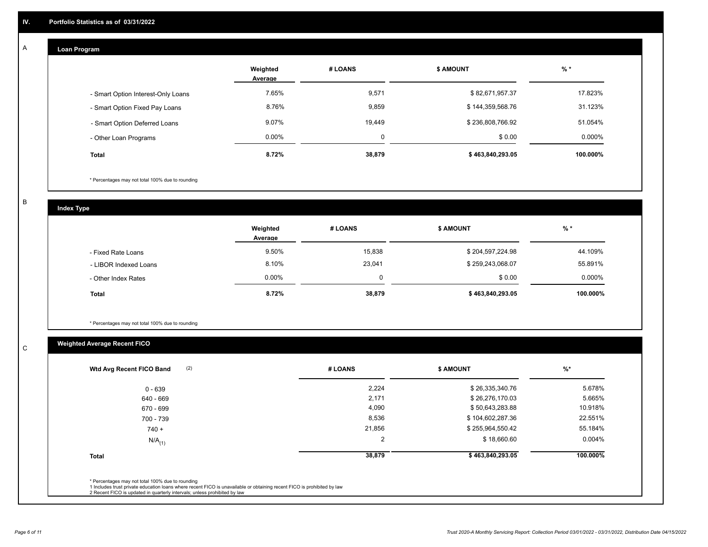## **Loan Program**

A

|                                    | Weighted<br>Average | # LOANS  | <b>\$ AMOUNT</b> | % *       |
|------------------------------------|---------------------|----------|------------------|-----------|
| - Smart Option Interest-Only Loans | 7.65%               | 9,571    | \$82,671,957.37  | 17.823%   |
| - Smart Option Fixed Pay Loans     | 8.76%               | 9,859    | \$144,359,568.76 | 31.123%   |
| - Smart Option Deferred Loans      | 9.07%               | 19,449   | \$236,808,766.92 | 51.054%   |
| - Other Loan Programs              | $0.00\%$            | $\Omega$ | \$0.00           | $0.000\%$ |
| <b>Total</b>                       | 8.72%               | 38,879   | \$463,840,293.05 | 100.000%  |

\* Percentages may not total 100% due to rounding

B

C

**Index Type**

|                       | Weighted<br>Average | # LOANS | <b>\$ AMOUNT</b> | $%$ *     |
|-----------------------|---------------------|---------|------------------|-----------|
| - Fixed Rate Loans    | 9.50%               | 15,838  | \$204,597,224.98 | 44.109%   |
| - LIBOR Indexed Loans | 8.10%               | 23,041  | \$259,243,068.07 | 55.891%   |
| - Other Index Rates   | 0.00%               |         | \$0.00           | $0.000\%$ |
| <b>Total</b>          | 8.72%               | 38,879  | \$463,840,293.05 | 100.000%  |

\* Percentages may not total 100% due to rounding

# **Weighted Average Recent FICO**

| (2)<br>Wtd Avg Recent FICO Band | # LOANS        | <b>\$ AMOUNT</b> | $\frac{9}{6}$ * |
|---------------------------------|----------------|------------------|-----------------|
| $0 - 639$                       | 2,224          | \$26,335,340.76  | 5.678%          |
| 640 - 669                       | 2,171          | \$26,276,170.03  | 5.665%          |
| 670 - 699                       | 4,090          | \$50,643,283.88  | 10.918%         |
| 700 - 739                       | 8,536          | \$104,602,287.36 | 22.551%         |
| $740 +$                         | 21,856         | \$255,964,550.42 | 55.184%         |
| $N/A$ <sub>(1)</sub>            | $\overline{2}$ | \$18,660.60      | $0.004\%$       |
| <b>Total</b>                    | 38,879         | \$463,840,293.05 | 100.000%        |
|                                 |                |                  |                 |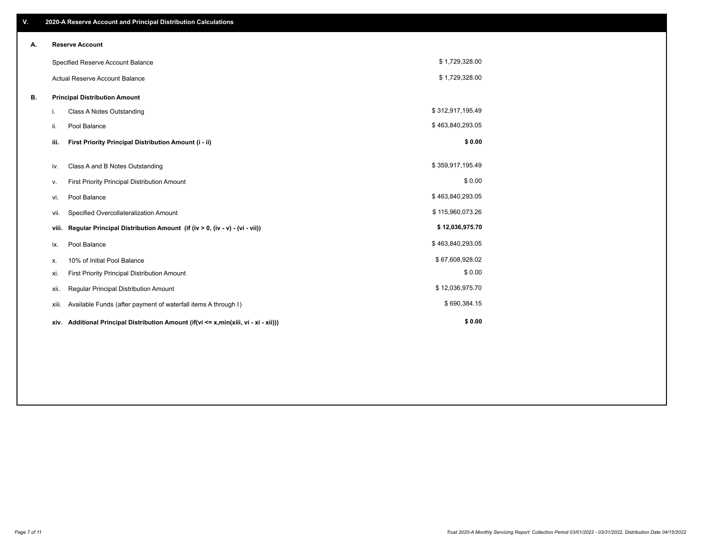| ٧. |       | 2020-A Reserve Account and Principal Distribution Calculations                  |                  |  |
|----|-------|---------------------------------------------------------------------------------|------------------|--|
| А. |       | <b>Reserve Account</b>                                                          |                  |  |
|    |       | Specified Reserve Account Balance                                               | \$1,729,328.00   |  |
|    |       | <b>Actual Reserve Account Balance</b>                                           | \$1,729,328.00   |  |
| В. |       | <b>Principal Distribution Amount</b>                                            |                  |  |
|    | i.    | <b>Class A Notes Outstanding</b>                                                | \$312,917,195.49 |  |
|    | ii.   | Pool Balance                                                                    | \$463,840,293.05 |  |
|    | iii.  | First Priority Principal Distribution Amount (i - ii)                           | \$0.00           |  |
|    | iv.   | Class A and B Notes Outstanding                                                 | \$359,917,195.49 |  |
|    | v.    | First Priority Principal Distribution Amount                                    | \$0.00           |  |
|    | vi.   | Pool Balance                                                                    | \$463,840,293.05 |  |
|    | vii.  | Specified Overcollateralization Amount                                          | \$115,960,073.26 |  |
|    | viii. | Regular Principal Distribution Amount (if (iv > 0, (iv - v) - (vi - vii))       | \$12,036,975.70  |  |
|    | ix.   | Pool Balance                                                                    | \$463,840,293.05 |  |
|    | х.    | 10% of Initial Pool Balance                                                     | \$67,608,928.02  |  |
|    | xi.   | First Priority Principal Distribution Amount                                    | \$0.00           |  |
|    | xii.  | Regular Principal Distribution Amount                                           | \$12,036,975.70  |  |
|    | xiii. | Available Funds (after payment of waterfall items A through I)                  | \$690,384.15     |  |
|    | xiv.  | Additional Principal Distribution Amount (if(vi <= x,min(xiii, vi - xi - xii))) | \$0.00           |  |
|    |       |                                                                                 |                  |  |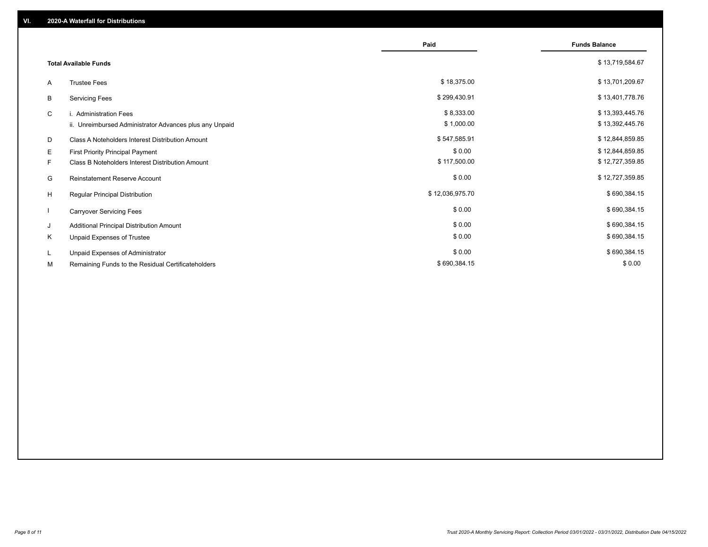|    |                                                         | Paid            | <b>Funds Balance</b> |
|----|---------------------------------------------------------|-----------------|----------------------|
|    | <b>Total Available Funds</b>                            |                 | \$13,719,584.67      |
| A  | <b>Trustee Fees</b>                                     | \$18,375.00     | \$13,701,209.67      |
| В  | <b>Servicing Fees</b>                                   | \$299,430.91    | \$13,401,778.76      |
| C  | i. Administration Fees                                  | \$8,333.00      | \$13,393,445.76      |
|    | ii. Unreimbursed Administrator Advances plus any Unpaid | \$1,000.00      | \$13,392,445.76      |
| D  | Class A Noteholders Interest Distribution Amount        | \$547,585.91    | \$12,844,859.85      |
| Е  | First Priority Principal Payment                        | \$0.00          | \$12,844,859.85      |
| F. | Class B Noteholders Interest Distribution Amount        | \$117,500.00    | \$12,727,359.85      |
| G  | <b>Reinstatement Reserve Account</b>                    | \$0.00          | \$12,727,359.85      |
| H  | Regular Principal Distribution                          | \$12,036,975.70 | \$690,384.15         |
|    | <b>Carryover Servicing Fees</b>                         | \$0.00          | \$690,384.15         |
| J  | Additional Principal Distribution Amount                | \$0.00          | \$690,384.15         |
| Κ  | Unpaid Expenses of Trustee                              | \$0.00          | \$690,384.15         |
| L. | Unpaid Expenses of Administrator                        | \$0.00          | \$690,384.15         |
| М  | Remaining Funds to the Residual Certificateholders      | \$690,384.15    | \$0.00               |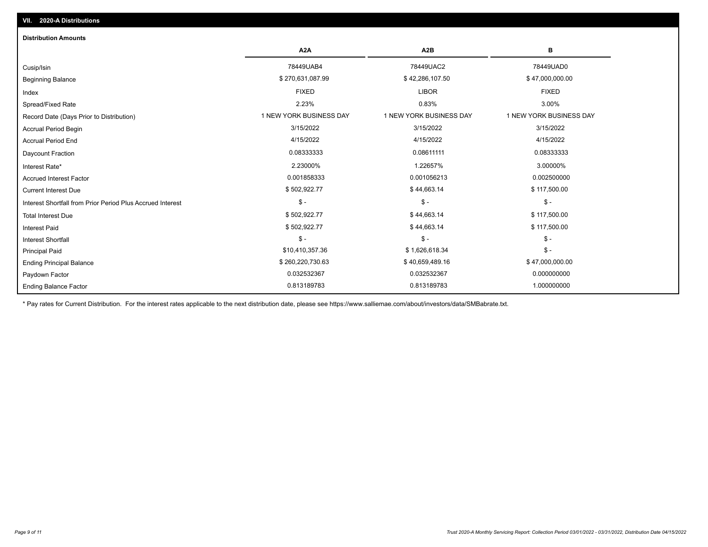| <b>Distribution Amounts</b>                                |                         |                         |                         |  |  |  |  |
|------------------------------------------------------------|-------------------------|-------------------------|-------------------------|--|--|--|--|
|                                                            | A <sub>2</sub> A        | A <sub>2</sub> B        | в                       |  |  |  |  |
| Cusip/Isin                                                 | 78449UAB4               | 78449UAC2               | 78449UAD0               |  |  |  |  |
| <b>Beginning Balance</b>                                   | \$270,631,087.99        | \$42,286,107.50         | \$47,000,000.00         |  |  |  |  |
| Index                                                      | <b>FIXED</b>            | <b>LIBOR</b>            | <b>FIXED</b>            |  |  |  |  |
| Spread/Fixed Rate                                          | 2.23%                   | 0.83%                   | 3.00%                   |  |  |  |  |
| Record Date (Days Prior to Distribution)                   | 1 NEW YORK BUSINESS DAY | 1 NEW YORK BUSINESS DAY | 1 NEW YORK BUSINESS DAY |  |  |  |  |
| Accrual Period Begin                                       | 3/15/2022               | 3/15/2022               | 3/15/2022               |  |  |  |  |
| <b>Accrual Period End</b>                                  | 4/15/2022               | 4/15/2022               | 4/15/2022               |  |  |  |  |
| Daycount Fraction                                          | 0.08333333              | 0.08611111              | 0.08333333              |  |  |  |  |
| Interest Rate*                                             | 2.23000%                | 1.22657%                | 3.00000%                |  |  |  |  |
| <b>Accrued Interest Factor</b>                             | 0.001858333             | 0.001056213             | 0.002500000             |  |  |  |  |
| <b>Current Interest Due</b>                                | \$502,922.77            | \$44,663.14             | \$117,500.00            |  |  |  |  |
| Interest Shortfall from Prior Period Plus Accrued Interest | $\mathsf{\$}$ -         | $\mathsf{\$}$ -         | $$ -$                   |  |  |  |  |
| <b>Total Interest Due</b>                                  | \$502,922.77            | \$44,663.14             | \$117,500.00            |  |  |  |  |
| <b>Interest Paid</b>                                       | \$502,922.77            | \$44,663.14             | \$117,500.00            |  |  |  |  |
| Interest Shortfall                                         | $\mathsf{\$}$ -         | $\mathsf{\$}$ -         | $\mathsf{\$}$ -         |  |  |  |  |
| <b>Principal Paid</b>                                      | \$10,410,357.36         | \$1,626,618.34          | $$ -$                   |  |  |  |  |
| <b>Ending Principal Balance</b>                            | \$260,220,730.63        | \$40,659,489.16         | \$47,000,000.00         |  |  |  |  |
| Paydown Factor                                             | 0.032532367             | 0.032532367             | 0.000000000             |  |  |  |  |
| <b>Ending Balance Factor</b>                               | 0.813189783             | 0.813189783             | 1.000000000             |  |  |  |  |

\* Pay rates for Current Distribution. For the interest rates applicable to the next distribution date, please see https://www.salliemae.com/about/investors/data/SMBabrate.txt.

**VII. 2020-A Distributions**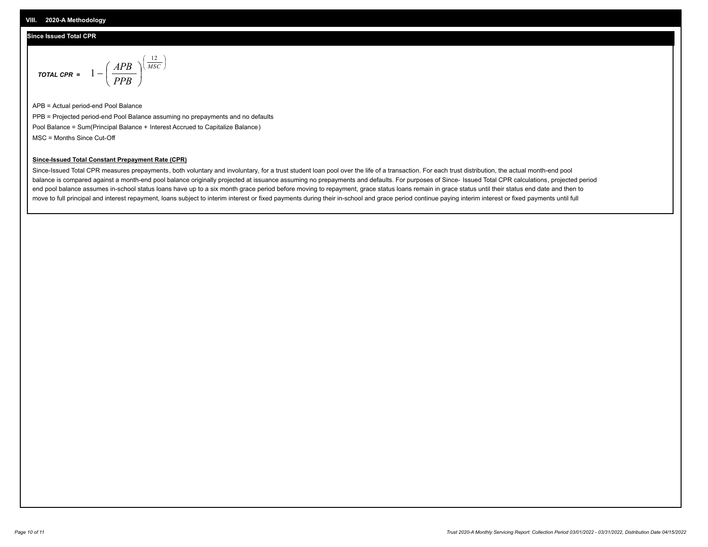#### **Since Issued Total CPR**

$$
\text{total cPR} = 1 - \left(\frac{APB}{PPB}\right)^{\left(\frac{12}{MSC}\right)}
$$

APB = Actual period-end Pool Balance PPB = Projected period-end Pool Balance assuming no prepayments and no defaults Pool Balance = Sum(Principal Balance + Interest Accrued to Capitalize Balance) MSC = Months Since Cut-Off

I J Ι

#### **Since-Issued Total Constant Prepayment Rate (CPR)**

Since-Issued Total CPR measures prepayments, both voluntary and involuntary, for a trust student loan pool over the life of a transaction. For each trust distribution, the actual month-end pool balance is compared against a month-end pool balance originally projected at issuance assuming no prepayments and defaults. For purposes of Since- Issued Total CPR calculations, projected period end pool balance assumes in-school status loans have up to a six month grace period before moving to repayment, grace status loans remain in grace status until their status end date and then to move to full principal and interest repayment, loans subject to interim interest or fixed payments during their in-school and grace period continue paying interim interest or fixed payments until full